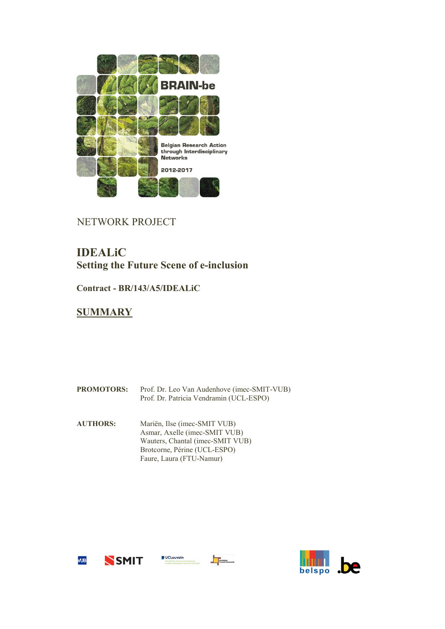

## NETWORK PROJECT

# **IDEALiC Setting the Future Scene of e-inclusion**

**Contract - BR/143/A5/IDEALiC**

## **SUMMARY**

| <b>PROMOTORS:</b> | Prof. Dr. Leo Van Audenhove (imec-SMIT-VUB)<br>Prof. Dr. Patricia Vendramin (UCL-ESPO)                                            |
|-------------------|-----------------------------------------------------------------------------------------------------------------------------------|
| <b>AUTHORS:</b>   | Mariën, Ilse (imec-SMIT VUB)<br>Asmar, Axelle (imec-SMIT VUB)<br>Wauters, Chantal (imec-SMIT VUB)<br>Brotcorne, Périne (UCL-ESPO) |

Faure, Laura (FTU-Namur)

 $\blacksquare$  UCLouvain







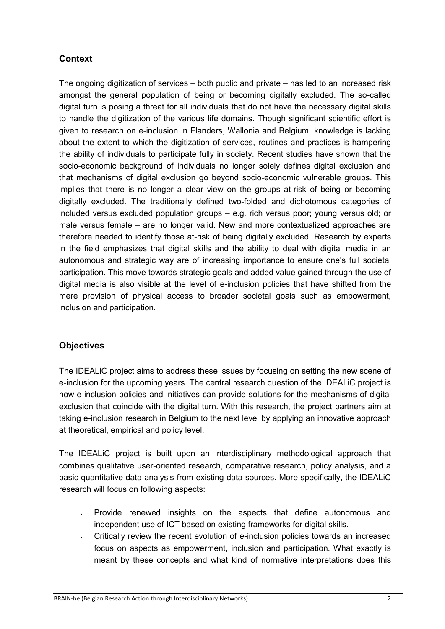## **Context**

The ongoing digitization of services – both public and private – has led to an increased risk amongst the general population of being or becoming digitally excluded. The so-called digital turn is posing a threat for all individuals that do not have the necessary digital skills to handle the digitization of the various life domains. Though significant scientific effort is given to research on e-inclusion in Flanders, Wallonia and Belgium, knowledge is lacking about the extent to which the digitization of services, routines and practices is hampering the ability of individuals to participate fully in society. Recent studies have shown that the socio-economic background of individuals no longer solely defines digital exclusion and that mechanisms of digital exclusion go beyond socio-economic vulnerable groups. This implies that there is no longer a clear view on the groups at-risk of being or becoming digitally excluded. The traditionally defined two-folded and dichotomous categories of included versus excluded population groups – e.g. rich versus poor; young versus old; or male versus female – are no longer valid. New and more contextualized approaches are therefore needed to identify those at-risk of being digitally excluded. Research by experts in the field emphasizes that digital skills and the ability to deal with digital media in an autonomous and strategic way are of increasing importance to ensure one's full societal participation. This move towards strategic goals and added value gained through the use of digital media is also visible at the level of e-inclusion policies that have shifted from the mere provision of physical access to broader societal goals such as empowerment, inclusion and participation.

### **Objectives**

The IDEALiC project aims to address these issues by focusing on setting the new scene of e-inclusion for the upcoming years. The central research question of the IDEALiC project is how e-inclusion policies and initiatives can provide solutions for the mechanisms of digital exclusion that coincide with the digital turn. With this research, the project partners aim at taking e-inclusion research in Belgium to the next level by applying an innovative approach at theoretical, empirical and policy level.

The IDEALiC project is built upon an interdisciplinary methodological approach that combines qualitative user-oriented research, comparative research, policy analysis, and a basic quantitative data-analysis from existing data sources. More specifically, the IDEALiC research will focus on following aspects:

- Provide renewed insights on the aspects that define autonomous and independent use of ICT based on existing frameworks for digital skills.
- Critically review the recent evolution of e-inclusion policies towards an increased focus on aspects as empowerment, inclusion and participation. What exactly is meant by these concepts and what kind of normative interpretations does this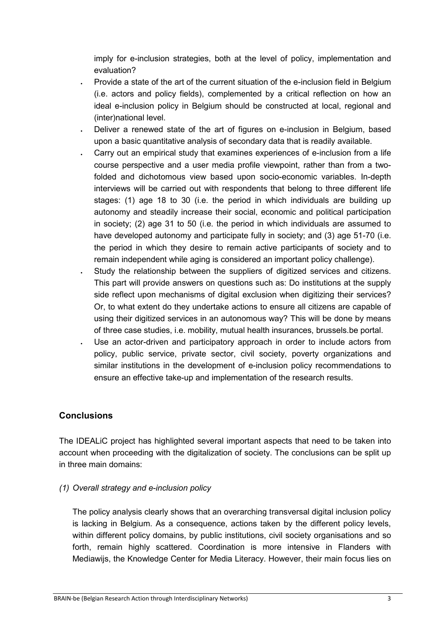imply for e-inclusion strategies, both at the level of policy, implementation and evaluation?

- Provide a state of the art of the current situation of the e-inclusion field in Belgium (i.e. actors and policy fields), complemented by a critical reflection on how an ideal e-inclusion policy in Belgium should be constructed at local, regional and (inter)national level.
- Deliver a renewed state of the art of figures on e-inclusion in Belgium, based upon a basic quantitative analysis of secondary data that is readily available.
- Carry out an empirical study that examines experiences of e-inclusion from a life course perspective and a user media profile viewpoint, rather than from a twofolded and dichotomous view based upon socio-economic variables. In-depth interviews will be carried out with respondents that belong to three different life stages: (1) age 18 to 30 (i.e. the period in which individuals are building up autonomy and steadily increase their social, economic and political participation in society; (2) age 31 to 50 (i.e. the period in which individuals are assumed to have developed autonomy and participate fully in society; and (3) age 51-70 (i.e. the period in which they desire to remain active participants of society and to remain independent while aging is considered an important policy challenge).
- Study the relationship between the suppliers of digitized services and citizens. This part will provide answers on questions such as: Do institutions at the supply side reflect upon mechanisms of digital exclusion when digitizing their services? Or, to what extent do they undertake actions to ensure all citizens are capable of using their digitized services in an autonomous way? This will be done by means of three case studies, i.e. mobility, mutual health insurances, brussels.be portal.
- Use an actor-driven and participatory approach in order to include actors from policy, public service, private sector, civil society, poverty organizations and similar institutions in the development of e-inclusion policy recommendations to ensure an effective take-up and implementation of the research results.

### **Conclusions**

The IDEALiC project has highlighted several important aspects that need to be taken into account when proceeding with the digitalization of society. The conclusions can be split up in three main domains:

### *(1) Overall strategy and e-inclusion policy*

The policy analysis clearly shows that an overarching transversal digital inclusion policy is lacking in Belgium. As a consequence, actions taken by the different policy levels, within different policy domains, by public institutions, civil society organisations and so forth, remain highly scattered. Coordination is more intensive in Flanders with Mediawijs, the Knowledge Center for Media Literacy. However, their main focus lies on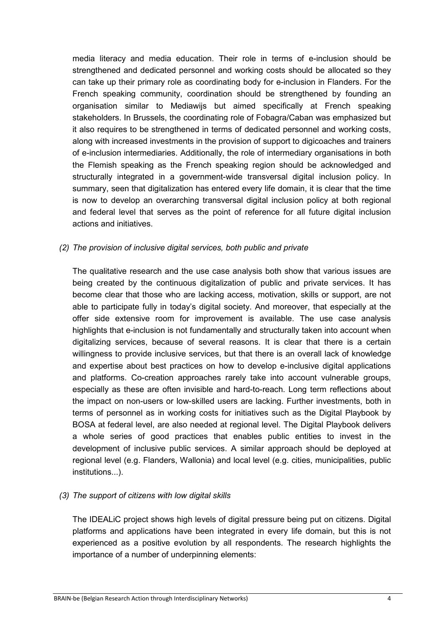media literacy and media education. Their role in terms of e-inclusion should be strengthened and dedicated personnel and working costs should be allocated so they can take up their primary role as coordinating body for e-inclusion in Flanders. For the French speaking community, coordination should be strengthened by founding an organisation similar to Mediawijs but aimed specifically at French speaking stakeholders. In Brussels, the coordinating role of Fobagra/Caban was emphasized but it also requires to be strengthened in terms of dedicated personnel and working costs, along with increased investments in the provision of support to digicoaches and trainers of e-inclusion intermediaries. Additionally, the role of intermediary organisations in both the Flemish speaking as the French speaking region should be acknowledged and structurally integrated in a government-wide transversal digital inclusion policy. In summary, seen that digitalization has entered every life domain, it is clear that the time is now to develop an overarching transversal digital inclusion policy at both regional and federal level that serves as the point of reference for all future digital inclusion actions and initiatives.

#### *(2) The provision of inclusive digital services, both public and private*

The qualitative research and the use case analysis both show that various issues are being created by the continuous digitalization of public and private services. It has become clear that those who are lacking access, motivation, skills or support, are not able to participate fully in today's digital society. And moreover, that especially at the offer side extensive room for improvement is available. The use case analysis highlights that e-inclusion is not fundamentally and structurally taken into account when digitalizing services, because of several reasons. It is clear that there is a certain willingness to provide inclusive services, but that there is an overall lack of knowledge and expertise about best practices on how to develop e-inclusive digital applications and platforms. Co-creation approaches rarely take into account vulnerable groups, especially as these are often invisible and hard-to-reach. Long term reflections about the impact on non-users or low-skilled users are lacking. Further investments, both in terms of personnel as in working costs for initiatives such as the Digital Playbook by BOSA at federal level, are also needed at regional level. The Digital Playbook delivers a whole series of good practices that enables public entities to invest in the development of inclusive public services. A similar approach should be deployed at regional level (e.g. Flanders, Wallonia) and local level (e.g. cities, municipalities, public institutions...).

#### *(3) The support of citizens with low digital skills*

The IDEALiC project shows high levels of digital pressure being put on citizens. Digital platforms and applications have been integrated in every life domain, but this is not experienced as a positive evolution by all respondents. The research highlights the importance of a number of underpinning elements: